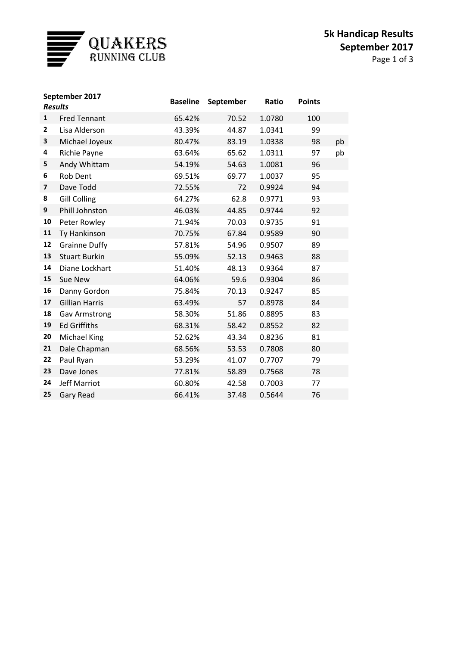

| September 2017<br><b>Results</b> |                       | <b>Baseline</b> | September | Ratio  | <b>Points</b> |    |
|----------------------------------|-----------------------|-----------------|-----------|--------|---------------|----|
| $\mathbf{1}$                     | <b>Fred Tennant</b>   | 65.42%          | 70.52     | 1.0780 | 100           |    |
| $\mathbf{2}$                     | Lisa Alderson         | 43.39%          | 44.87     | 1.0341 | 99            |    |
| 3                                | Michael Joyeux        | 80.47%          | 83.19     | 1.0338 | 98            | pb |
| 4                                | Richie Payne          | 63.64%          | 65.62     | 1.0311 | 97            | pb |
| 5                                | Andy Whittam          | 54.19%          | 54.63     | 1.0081 | 96            |    |
| 6                                | Rob Dent              | 69.51%          | 69.77     | 1.0037 | 95            |    |
| 7                                | Dave Todd             | 72.55%          | 72        | 0.9924 | 94            |    |
| 8                                | <b>Gill Colling</b>   | 64.27%          | 62.8      | 0.9771 | 93            |    |
| 9                                | Phill Johnston        | 46.03%          | 44.85     | 0.9744 | 92            |    |
| 10                               | Peter Rowley          | 71.94%          | 70.03     | 0.9735 | 91            |    |
| 11                               | Ty Hankinson          | 70.75%          | 67.84     | 0.9589 | 90            |    |
| 12                               | <b>Grainne Duffy</b>  | 57.81%          | 54.96     | 0.9507 | 89            |    |
| 13                               | <b>Stuart Burkin</b>  | 55.09%          | 52.13     | 0.9463 | 88            |    |
| 14                               | Diane Lockhart        | 51.40%          | 48.13     | 0.9364 | 87            |    |
| 15                               | Sue New               | 64.06%          | 59.6      | 0.9304 | 86            |    |
| 16                               | Danny Gordon          | 75.84%          | 70.13     | 0.9247 | 85            |    |
| 17                               | <b>Gillian Harris</b> | 63.49%          | 57        | 0.8978 | 84            |    |
| 18                               | <b>Gav Armstrong</b>  | 58.30%          | 51.86     | 0.8895 | 83            |    |
| 19                               | <b>Ed Griffiths</b>   | 68.31%          | 58.42     | 0.8552 | 82            |    |
| 20                               | Michael King          | 52.62%          | 43.34     | 0.8236 | 81            |    |
| 21                               | Dale Chapman          | 68.56%          | 53.53     | 0.7808 | 80            |    |
| 22                               | Paul Ryan             | 53.29%          | 41.07     | 0.7707 | 79            |    |
| 23                               | Dave Jones            | 77.81%          | 58.89     | 0.7568 | 78            |    |
| 24                               | <b>Jeff Marriot</b>   | 60.80%          | 42.58     | 0.7003 | 77            |    |
| 25                               | <b>Gary Read</b>      | 66.41%          | 37.48     | 0.5644 | 76            |    |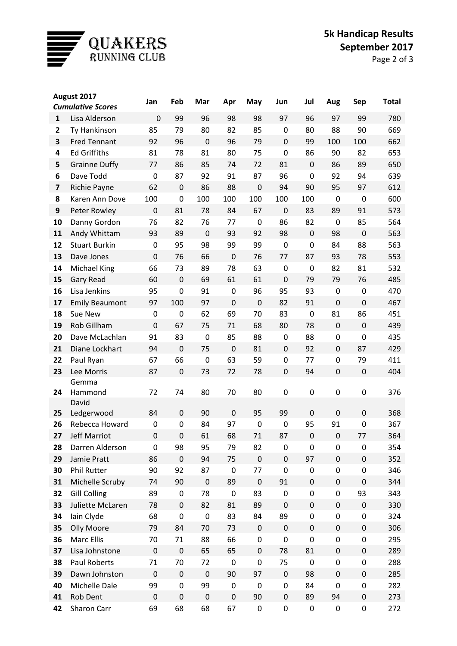

| August 2017  |                          | Jan              | Feb              | Mar              | Apr         | May              | Jun              | Jul              | Aug              | <b>Sep</b>       | <b>Total</b> |
|--------------|--------------------------|------------------|------------------|------------------|-------------|------------------|------------------|------------------|------------------|------------------|--------------|
|              | <b>Cumulative Scores</b> |                  |                  |                  |             |                  |                  |                  |                  |                  |              |
| $\mathbf{1}$ | Lisa Alderson            | $\mathbf 0$      | 99               | 96               | 98          | 98               | 97               | 96               | 97               | 99               | 780          |
| 2            | Ty Hankinson             | 85               | 79               | 80               | 82          | 85               | $\mathbf 0$      | 80               | 88               | 90               | 669          |
| 3            | <b>Fred Tennant</b>      | 92               | 96               | $\mathbf 0$      | 96          | 79               | $\overline{0}$   | 99               | 100              | 100              | 662          |
| 4            | <b>Ed Griffiths</b>      | 81               | 78               | 81               | 80          | 75               | $\mathbf 0$      | 86               | 90               | 82               | 653          |
| 5            | <b>Grainne Duffy</b>     | 77               | 86               | 85               | 74          | 72               | 81               | $\mathbf 0$      | 86               | 89               | 650          |
| 6            | Dave Todd                | $\mathbf 0$      | 87               | 92               | 91          | 87               | 96               | 0                | 92               | 94               | 639          |
| 7            | Richie Payne             | 62               | $\mathbf 0$      | 86               | 88          | $\mathbf 0$      | 94               | 90               | 95               | 97               | 612          |
| 8            | Karen Ann Dove           | 100              | $\mathbf 0$      | 100              | 100         | 100              | 100              | 100              | $\mathbf 0$      | $\mathbf 0$      | 600          |
| 9            | Peter Rowley             | $\mathbf 0$      | 81               | 78               | 84          | 67               | $\mathbf 0$      | 83               | 89               | 91               | 573          |
| 10           | Danny Gordon             | 76               | 82               | 76               | 77          | $\mathbf 0$      | 86               | 82               | $\mathbf 0$      | 85               | 564          |
| 11           | Andy Whittam             | 93               | 89               | $\mathbf 0$      | 93          | 92               | 98               | $\mathbf 0$      | 98               | $\mathbf 0$      | 563          |
| 12           | <b>Stuart Burkin</b>     | 0                | 95               | 98               | 99          | 99               | $\mathbf 0$      | 0                | 84               | 88               | 563          |
| 13           | Dave Jones               | $\mathbf 0$      | 76               | 66               | $\mathbf 0$ | 76               | 77               | 87               | 93               | 78               | 553          |
| 14           | <b>Michael King</b>      | 66               | 73               | 89               | 78          | 63               | $\mathbf 0$      | $\mathbf 0$      | 82               | 81               | 532          |
| 15           | <b>Gary Read</b>         | 60               | $\mathbf 0$      | 69               | 61          | 61               | $\mathbf 0$      | 79               | 79               | 76               | 485          |
| 16           | Lisa Jenkins             | 95               | $\mathbf 0$      | 91               | 0           | 96               | 95               | 93               | $\mathbf 0$      | $\mathbf 0$      | 470          |
| 17           | <b>Emily Beaumont</b>    | 97               | 100              | 97               | $\mathbf 0$ | $\mathbf 0$      | 82               | 91               | $\mathbf 0$      | $\mathbf 0$      | 467          |
| 18           | Sue New                  | 0                | $\mathbf 0$      | 62               | 69          | 70               | 83               | $\mathbf 0$      | 81               | 86               | 451          |
| 19           | Rob Gillham              | $\mathbf 0$      | 67               | 75               | 71          | 68               | 80               | 78               | $\mathbf 0$      | $\mathbf 0$      | 439          |
| 20           | Dave McLachlan           | 91               | 83               | 0                | 85          | 88               | $\mathbf 0$      | 88               | $\boldsymbol{0}$ | 0                | 435          |
| 21           | Diane Lockhart           | 94               | $\mathbf 0$      | 75               | $\mathbf 0$ | 81               | $\mathbf 0$      | 92               | $\mathbf 0$      | 87               | 429          |
| 22           | Paul Ryan                | 67               | 66               | 0                | 63          | 59               | $\mathbf 0$      | 77               | $\boldsymbol{0}$ | 79               | 411          |
| 23           | Lee Morris               | 87               | $\mathbf 0$      | 73               | 72          | 78               | $\mathbf 0$      | 94               | $\mathbf 0$      | $\mathbf 0$      | 404          |
|              | Gemma                    |                  |                  |                  |             |                  |                  |                  |                  |                  |              |
| 24           | Hammond                  | 72               | 74               | 80               | 70          | 80               | 0                | 0                | $\boldsymbol{0}$ | $\pmb{0}$        | 376          |
|              | David                    |                  |                  |                  |             |                  |                  |                  |                  |                  |              |
| 25           | Ledgerwood               | 84               | $\mathbf 0$      | 90               | $\mathbf 0$ | 95               | 99               | 0                | $\mathbf 0$      | 0                | 368          |
| 26           | Rebecca Howard           | 0                | 0                | 84               | 97          | $\mathbf 0$      | $\mathbf 0$      | 95               | 91               | 0                | 367          |
| 27           | Jeff Marriot             | $\mathbf 0$      | $\boldsymbol{0}$ | 61               | 68          | 71               | 87               | $\boldsymbol{0}$ | $\boldsymbol{0}$ | 77               | 364          |
| 28           | Darren Alderson          | 0                | 98               | 95               | 79          | 82               | 0                | 0                | $\boldsymbol{0}$ | 0                | 354          |
| 29           | Jamie Pratt              | 86               | $\mathbf 0$      | 94               | 75          | $\boldsymbol{0}$ | $\boldsymbol{0}$ | 97               | $\mathbf 0$      | $\boldsymbol{0}$ | 352          |
| 30           | Phil Rutter              | 90               | 92               | 87               | 0           | 77               | $\mathbf 0$      | 0                | $\boldsymbol{0}$ | $\pmb{0}$        | 346          |
| 31           | Michelle Scruby          | 74               | 90               | $\boldsymbol{0}$ | 89          | $\boldsymbol{0}$ | 91               | $\mathbf 0$      | $\boldsymbol{0}$ | $\boldsymbol{0}$ | 344          |
| 32           | <b>Gill Colling</b>      | 89               | $\pmb{0}$        | 78               | 0           | 83               | 0                | 0                | $\boldsymbol{0}$ | 93               | 343          |
| 33           | Juliette McLaren         | 78               | $\mathbf 0$      | 82               | 81          | 89               | $\boldsymbol{0}$ | $\mathbf 0$      | $\mathbf 0$      | $\boldsymbol{0}$ | 330          |
| 34           | Iain Clyde               | 68               | $\boldsymbol{0}$ | 0                | 83          | 84               | 89               | 0                | $\boldsymbol{0}$ | $\pmb{0}$        | 324          |
| 35           | Olly Moore               | 79               | 84               | 70               | 73          | $\boldsymbol{0}$ | $\boldsymbol{0}$ | $\boldsymbol{0}$ | $\boldsymbol{0}$ | 0                | 306          |
| 36           | Marc Ellis               | 70               | 71               | 88               | 66          | $\pmb{0}$        | $\pmb{0}$        | 0                | $\pmb{0}$        | 0                | 295          |
| 37           | Lisa Johnstone           | $\pmb{0}$        | $\boldsymbol{0}$ | 65               | 65          | $\pmb{0}$        | 78               | 81               | $\boldsymbol{0}$ | $\boldsymbol{0}$ | 289          |
| 38           | <b>Paul Roberts</b>      | 71               | 70               | 72               | $\mathbf 0$ | 0                | 75               | $\boldsymbol{0}$ | $\boldsymbol{0}$ | 0                | 288          |
| 39           | Dawn Johnston            | $\mathbf 0$      | $\boldsymbol{0}$ | $\boldsymbol{0}$ | 90          | 97               | $\boldsymbol{0}$ | 98               | $\boldsymbol{0}$ | 0                | 285          |
| 40           | Michelle Dale            | 99               | $\boldsymbol{0}$ | 99               | 0           | $\boldsymbol{0}$ | $\pmb{0}$        | 84               | $\mathbf 0$      | $\pmb{0}$        | 282          |
| 41           | Rob Dent                 | $\boldsymbol{0}$ | $\boldsymbol{0}$ | $\boldsymbol{0}$ | $\mathbf 0$ | 90               | $\boldsymbol{0}$ | 89               | 94               | $\pmb{0}$        | 273          |
| 42           | Sharon Carr              | 69               | 68               | 68               | 67          | $\pmb{0}$        | $\pmb{0}$        | 0                | $\pmb{0}$        | 0                | 272          |